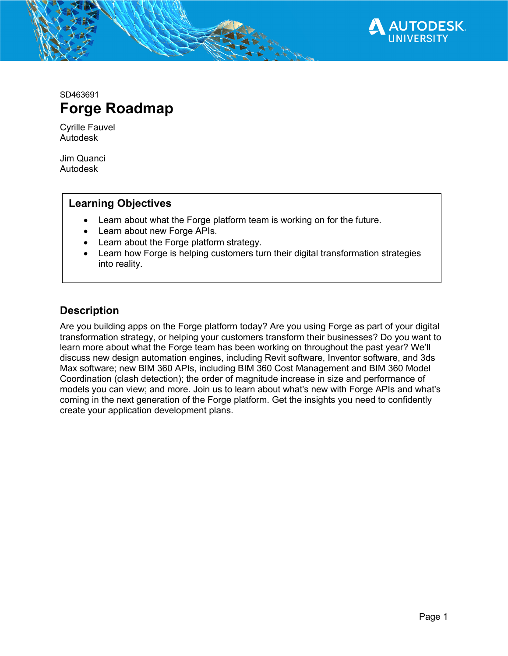

SD463691 **Forge Roadmap**

Cyrille Fauvel Autodesk

Jim Quanci Autodesk

#### **Learning Objectives**

- Learn about what the Forge platform team is working on for the future.
- Learn about new Forge APIs.
- Learn about the Forge platform strategy.
- Learn how Forge is helping customers turn their digital transformation strategies into reality.

### **Description**

Are you building apps on the Forge platform today? Are you using Forge as part of your digital transformation strategy, or helping your customers transform their businesses? Do you want to learn more about what the Forge team has been working on throughout the past year? We'll discuss new design automation engines, including Revit software, Inventor software, and 3ds Max software; new BIM 360 APIs, including BIM 360 Cost Management and BIM 360 Model Coordination (clash detection); the order of magnitude increase in size and performance of models you can view; and more. Join us to learn about what's new with Forge APIs and what's coming in the next generation of the Forge platform. Get the insights you need to confidently create your application development plans.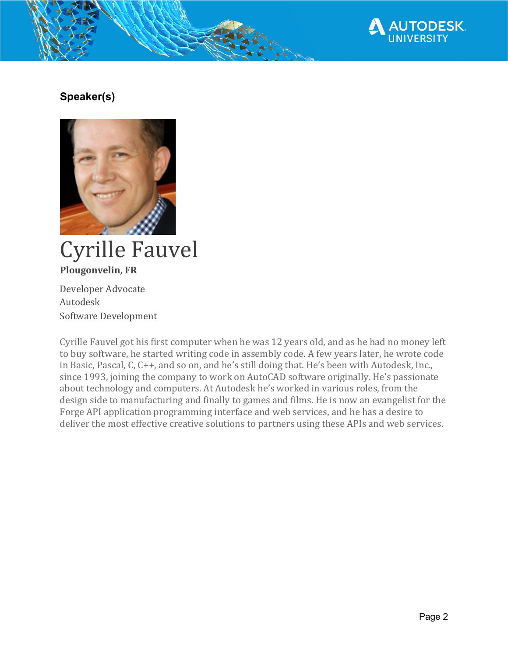

# **Speaker(s)**



# **Cyrille Fauvel Plougonvelin, FR**

Developer Advocate Autodesk Software Development

Cyrille Fauvel got his first computer when he was 12 years old, and as he had no money left to buy software, he started writing code in assembly code. A few years later, he wrote code in Basic, Pascal, C, C++, and so on, and he's still doing that. He's been with Autodesk, Inc., since 1993, joining the company to work on AutoCAD software originally. He's passionate about technology and computers. At Autodesk he's worked in various roles, from the design side to manufacturing and finally to games and films. He is now an evangelist for the Forge API application programming interface and web services, and he has a desire to deliver the most effective creative solutions to partners using these APIs and web services.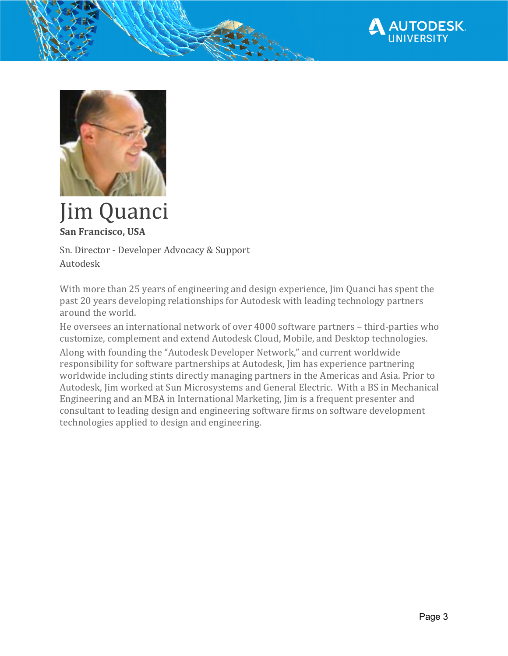



# Jim Quanci **San Francisco, USA**

Sn. Director - Developer Advocacy & Support Autodesk

With more than 25 years of engineering and design experience, Jim Quanci has spent the past 20 years developing relationships for Autodesk with leading technology partners around the world.

He oversees an international network of over 4000 software partners - third-parties who customize, complement and extend Autodesk Cloud, Mobile, and Desktop technologies.

Along with founding the "Autodesk Developer Network," and current worldwide responsibility for software partnerships at Autodesk, Jim has experience partnering worldwide including stints directly managing partners in the Americas and Asia. Prior to Autodesk, Jim worked at Sun Microsystems and General Electric. With a BS in Mechanical Engineering and an MBA in International Marketing, Jim is a frequent presenter and consultant to leading design and engineering software firms on software development technologies applied to design and engineering.